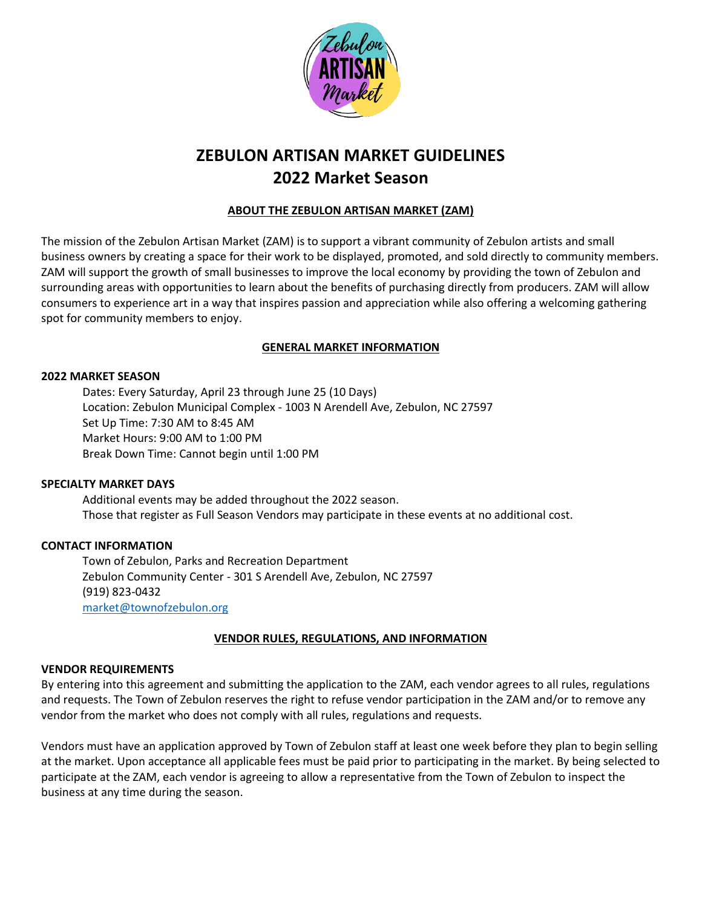

# **ZEBULON ARTISAN MARKET GUIDELINES 2022 Market Season**

# **ABOUT THE ZEBULON ARTISAN MARKET (ZAM)**

The mission of the Zebulon Artisan Market (ZAM) is to support a vibrant community of Zebulon artists and small business owners by creating a space for their work to be displayed, promoted, and sold directly to community members. ZAM will support the growth of small businesses to improve the local economy by providing the town of Zebulon and surrounding areas with opportunities to learn about the benefits of purchasing directly from producers. ZAM will allow consumers to experience art in a way that inspires passion and appreciation while also offering a welcoming gathering spot for community members to enjoy.

# **GENERAL MARKET INFORMATION**

#### **2022 MARKET SEASON**

Dates: Every Saturday, April 23 through June 25 (10 Days) Location: Zebulon Municipal Complex - 1003 N Arendell Ave, Zebulon, NC 27597 Set Up Time: 7:30 AM to 8:45 AM Market Hours: 9:00 AM to 1:00 PM Break Down Time: Cannot begin until 1:00 PM

#### **SPECIALTY MARKET DAYS**

Additional events may be added throughout the 2022 season. Those that register as Full Season Vendors may participate in these events at no additional cost.

## **CONTACT INFORMATION**

Town of Zebulon, Parks and Recreation Department Zebulon Community Center - 301 S Arendell Ave, Zebulon, NC 27597 (919) 823-0432 [market@townofzebulon.org](mailto:farmersmarket@townofzebulon.org)

## **VENDOR RULES, REGULATIONS, AND INFORMATION**

#### **VENDOR REQUIREMENTS**

By entering into this agreement and submitting the application to the ZAM, each vendor agrees to all rules, regulations and requests. The Town of Zebulon reserves the right to refuse vendor participation in the ZAM and/or to remove any vendor from the market who does not comply with all rules, regulations and requests.

Vendors must have an application approved by Town of Zebulon staff at least one week before they plan to begin selling at the market. Upon acceptance all applicable fees must be paid prior to participating in the market. By being selected to participate at the ZAM, each vendor is agreeing to allow a representative from the Town of Zebulon to inspect the business at any time during the season.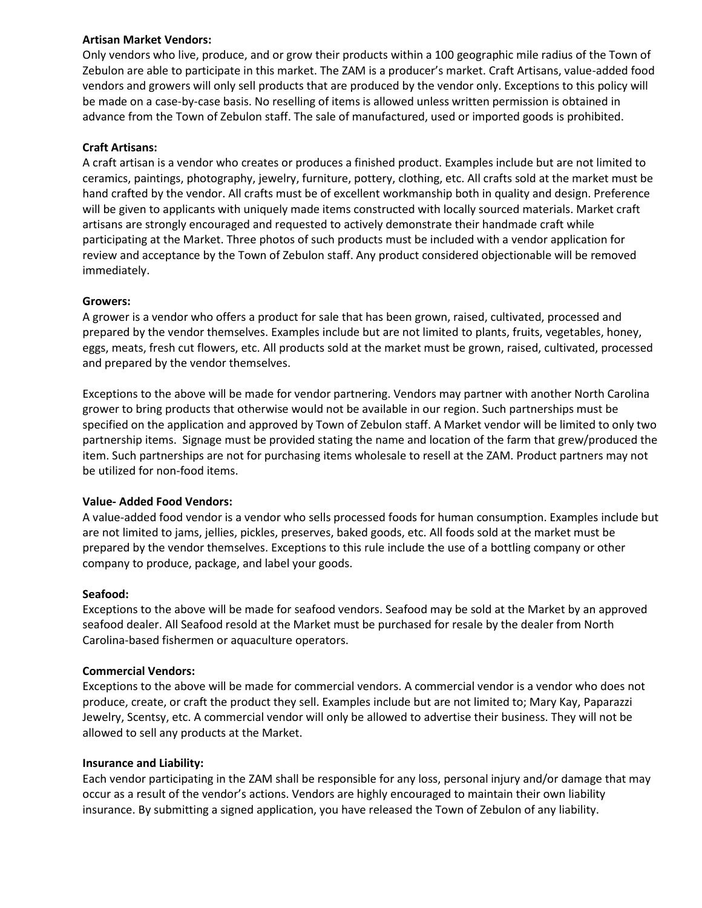## **Artisan Market Vendors:**

Only vendors who live, produce, and or grow their products within a 100 geographic mile radius of the Town of Zebulon are able to participate in this market. The ZAM is a producer's market. Craft Artisans, value-added food vendors and growers will only sell products that are produced by the vendor only. Exceptions to this policy will be made on a case-by-case basis. No reselling of items is allowed unless written permission is obtained in advance from the Town of Zebulon staff. The sale of manufactured, used or imported goods is prohibited.

### **Craft Artisans:**

A craft artisan is a vendor who creates or produces a finished product. Examples include but are not limited to ceramics, paintings, photography, jewelry, furniture, pottery, clothing, etc. All crafts sold at the market must be hand crafted by the vendor. All crafts must be of excellent workmanship both in quality and design. Preference will be given to applicants with uniquely made items constructed with locally sourced materials. Market craft artisans are strongly encouraged and requested to actively demonstrate their handmade craft while participating at the Market. Three photos of such products must be included with a vendor application for review and acceptance by the Town of Zebulon staff. Any product considered objectionable will be removed immediately.

#### **Growers:**

A grower is a vendor who offers a product for sale that has been grown, raised, cultivated, processed and prepared by the vendor themselves. Examples include but are not limited to plants, fruits, vegetables, honey, eggs, meats, fresh cut flowers, etc. All products sold at the market must be grown, raised, cultivated, processed and prepared by the vendor themselves.

Exceptions to the above will be made for vendor partnering. Vendors may partner with another North Carolina grower to bring products that otherwise would not be available in our region. Such partnerships must be specified on the application and approved by Town of Zebulon staff. A Market vendor will be limited to only two partnership items. Signage must be provided stating the name and location of the farm that grew/produced the item. Such partnerships are not for purchasing items wholesale to resell at the ZAM. Product partners may not be utilized for non-food items.

#### **Value- Added Food Vendors:**

A value-added food vendor is a vendor who sells processed foods for human consumption. Examples include but are not limited to jams, jellies, pickles, preserves, baked goods, etc. All foods sold at the market must be prepared by the vendor themselves. Exceptions to this rule include the use of a bottling company or other company to produce, package, and label your goods.

#### **Seafood:**

Exceptions to the above will be made for seafood vendors. Seafood may be sold at the Market by an approved seafood dealer. All Seafood resold at the Market must be purchased for resale by the dealer from North Carolina-based fishermen or aquaculture operators.

#### **Commercial Vendors:**

Exceptions to the above will be made for commercial vendors. A commercial vendor is a vendor who does not produce, create, or craft the product they sell. Examples include but are not limited to; Mary Kay, Paparazzi Jewelry, Scentsy, etc. A commercial vendor will only be allowed to advertise their business. They will not be allowed to sell any products at the Market.

#### **Insurance and Liability:**

Each vendor participating in the ZAM shall be responsible for any loss, personal injury and/or damage that may occur as a result of the vendor's actions. Vendors are highly encouraged to maintain their own liability insurance. By submitting a signed application, you have released the Town of Zebulon of any liability.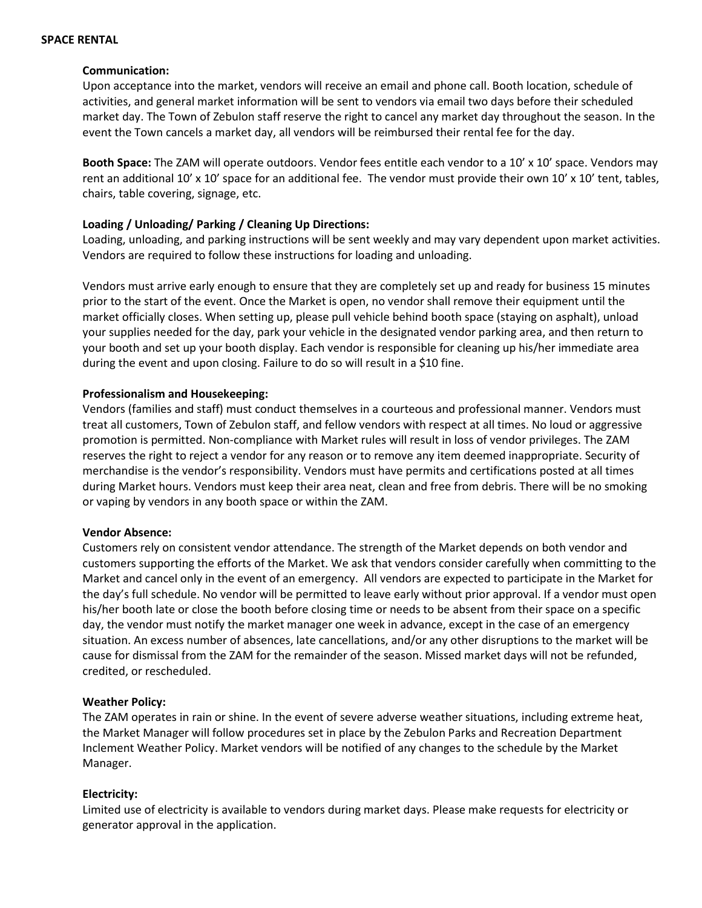#### **SPACE RENTAL**

#### **Communication:**

Upon acceptance into the market, vendors will receive an email and phone call. Booth location, schedule of activities, and general market information will be sent to vendors via email two days before their scheduled market day. The Town of Zebulon staff reserve the right to cancel any market day throughout the season. In the event the Town cancels a market day, all vendors will be reimbursed their rental fee for the day.

**Booth Space:** The ZAM will operate outdoors. Vendor fees entitle each vendor to a 10' x 10' space. Vendors may rent an additional 10' x 10' space for an additional fee. The vendor must provide their own 10' x 10' tent, tables, chairs, table covering, signage, etc.

## **Loading / Unloading/ Parking / Cleaning Up Directions:**

Loading, unloading, and parking instructions will be sent weekly and may vary dependent upon market activities. Vendors are required to follow these instructions for loading and unloading.

Vendors must arrive early enough to ensure that they are completely set up and ready for business 15 minutes prior to the start of the event. Once the Market is open, no vendor shall remove their equipment until the market officially closes. When setting up, please pull vehicle behind booth space (staying on asphalt), unload your supplies needed for the day, park your vehicle in the designated vendor parking area, and then return to your booth and set up your booth display. Each vendor is responsible for cleaning up his/her immediate area during the event and upon closing. Failure to do so will result in a \$10 fine.

## **Professionalism and Housekeeping:**

Vendors (families and staff) must conduct themselves in a courteous and professional manner. Vendors must treat all customers, Town of Zebulon staff, and fellow vendors with respect at all times. No loud or aggressive promotion is permitted. Non‐compliance with Market rules will result in loss of vendor privileges. The ZAM reserves the right to reject a vendor for any reason or to remove any item deemed inappropriate. Security of merchandise is the vendor's responsibility. Vendors must have permits and certifications posted at all times during Market hours. Vendors must keep their area neat, clean and free from debris. There will be no smoking or vaping by vendors in any booth space or within the ZAM.

#### **Vendor Absence:**

Customers rely on consistent vendor attendance. The strength of the Market depends on both vendor and customers supporting the efforts of the Market. We ask that vendors consider carefully when committing to the Market and cancel only in the event of an emergency. All vendors are expected to participate in the Market for the day's full schedule. No vendor will be permitted to leave early without prior approval. If a vendor must open his/her booth late or close the booth before closing time or needs to be absent from their space on a specific day, the vendor must notify the market manager one week in advance, except in the case of an emergency situation. An excess number of absences, late cancellations, and/or any other disruptions to the market will be cause for dismissal from the ZAM for the remainder of the season. Missed market days will not be refunded, credited, or rescheduled.

#### **Weather Policy:**

The ZAM operates in rain or shine. In the event of severe adverse weather situations, including extreme heat, the Market Manager will follow procedures set in place by the Zebulon Parks and Recreation Department Inclement Weather Policy. Market vendors will be notified of any changes to the schedule by the Market Manager.

## **Electricity:**

Limited use of electricity is available to vendors during market days. Please make requests for electricity or generator approval in the application.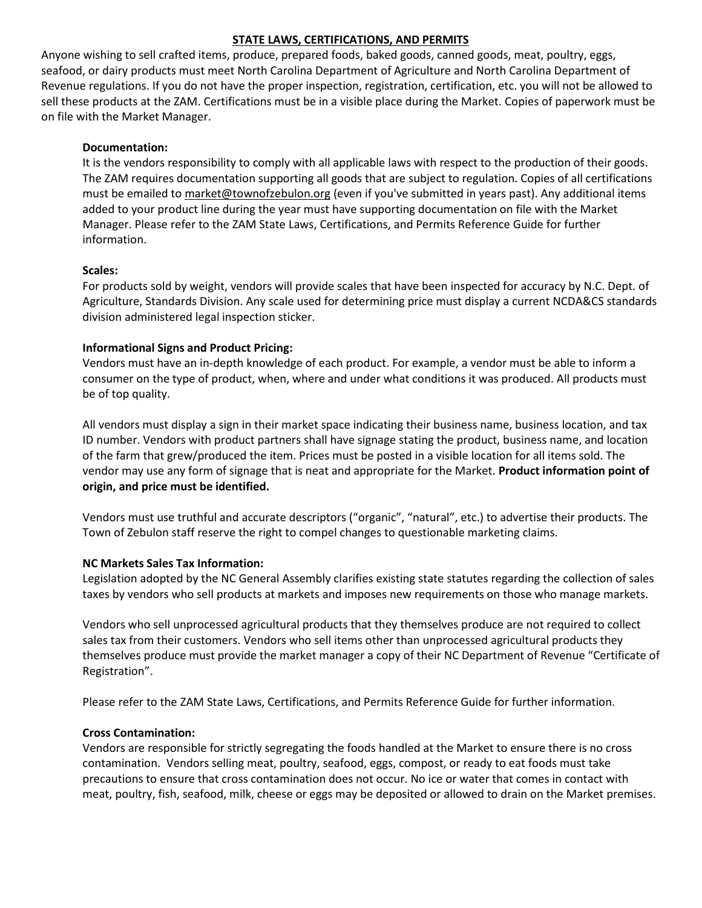## **STATE LAWS, CERTIFICATIONS, AND PERMITS**

Anyone wishing to sell crafted items, produce, prepared foods, baked goods, canned goods, meat, poultry, eggs, seafood, or dairy products must meet North Carolina Department of Agriculture and North Carolina Department of Revenue regulations. If you do not have the proper inspection, registration, certification, etc. you will not be allowed to sell these products at the ZAM. Certifications must be in a visible place during the Market. Copies of paperwork must be on file with the Market Manager.

## **Documentation:**

It is the vendors responsibility to comply with all applicable laws with respect to the production of their goods. The ZAM requires documentation supporting all goods that are subject to regulation. Copies of all certifications must be emailed to [market@townofzebulon.org](mailto:farmersmarket@townofzebulon.org) (even if you've submitted in years past). Any additional items added to your product line during the year must have supporting documentation on file with the Market Manager. Please refer to the ZAM State Laws, Certifications, and Permits Reference Guide for further information.

## **Scales:**

For products sold by weight, vendors will provide scales that have been inspected for accuracy by N.C. Dept. of Agriculture, Standards Division. Any scale used for determining price must display a current NCDA&CS standards division administered legal inspection sticker.

# **Informational Signs and Product Pricing:**

Vendors must have an in-depth knowledge of each product. For example, a vendor must be able to inform a consumer on the type of product, when, where and under what conditions it was produced. All products must be of top quality.

All vendors must display a sign in their market space indicating their business name, business location, and tax ID number. Vendors with product partners shall have signage stating the product, business name, and location of the farm that grew/produced the item. Prices must be posted in a visible location for all items sold. The vendor may use any form of signage that is neat and appropriate for the Market. **Product information point of origin, and price must be identified.**

Vendors must use truthful and accurate descriptors ("organic", "natural", etc.) to advertise their products. The Town of Zebulon staff reserve the right to compel changes to questionable marketing claims.

## **NC Markets Sales Tax Information:**

Legislation adopted by the NC General Assembly clarifies existing state statutes regarding the collection of sales taxes by vendors who sell products at markets and imposes new requirements on those who manage markets.

Vendors who sell unprocessed agricultural products that they themselves produce are not required to collect sales tax from their customers. Vendors who sell items other than unprocessed agricultural products they themselves produce must provide the market manager a copy of their NC Department of Revenue "Certificate of Registration".

Please refer to the ZAM State Laws, Certifications, and Permits Reference Guide for further information.

## **Cross Contamination:**

Vendors are responsible for strictly segregating the foods handled at the Market to ensure there is no cross contamination. Vendors selling meat, poultry, seafood, eggs, compost, or ready to eat foods must take precautions to ensure that cross contamination does not occur. No ice or water that comes in contact with meat, poultry, fish, seafood, milk, cheese or eggs may be deposited or allowed to drain on the Market premises.